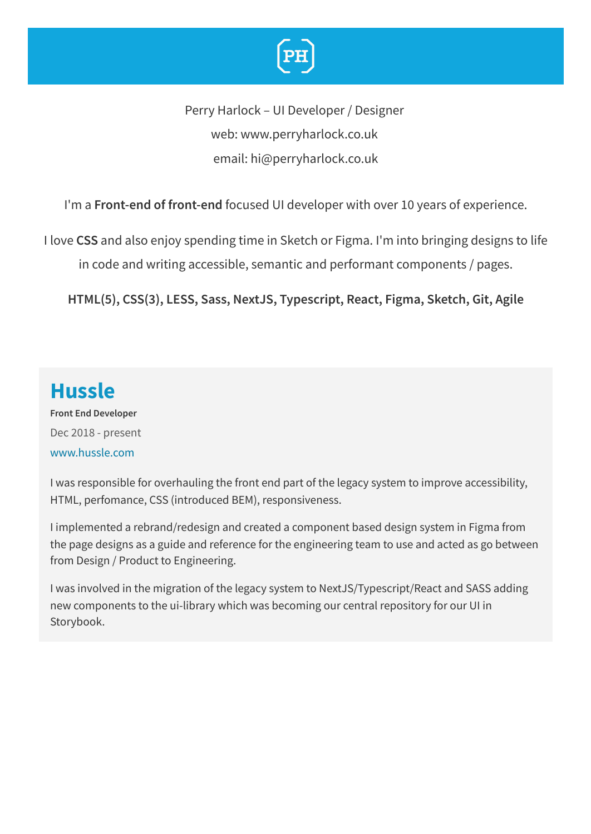

Perry Harlock – UI Developer / Designer web: www.perryharlock.co.uk email: hi@perryharlock.co.uk

I'm a **Front-end of front-end** focused UI developer with over 10 years of experience.

I love **CSS** and also enjoy spending time in Sketch or Figma. I'm into bringing designs to life in code and writing accessible, semantic and performant components / pages.

**HTML(5), CSS(3), LESS, Sass, NextJS, Typescript, React, Figma, Sketch, Git, Agile**

### **Hussle**

**Front End Developer** Dec 2018 - present [www.hussle.com](https://www.hussle.com/)

I was responsible for overhauling the front end part of the legacy system to improve accessibility, HTML, perfomance, CSS (introduced BEM), responsiveness.

I implemented a rebrand/redesign and created a component based design system in Figma from the page designs as a guide and reference for the engineering team to use and acted as go between from Design / Product to Engineering.

I was involved in the migration of the legacy system to NextJS/Typescript/React and SASS adding new components to the ui-library which was becoming our central repository for our UI in Storybook.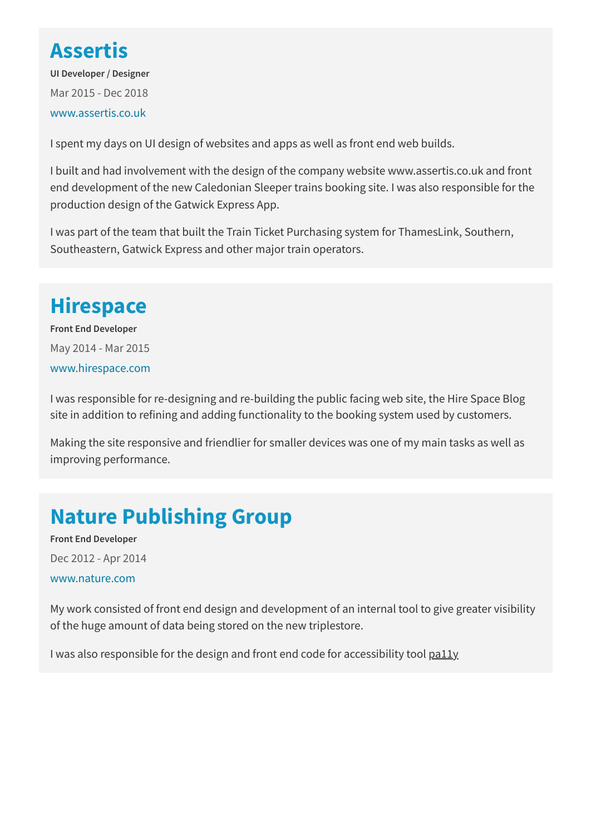### **Assertis**

**UI Developer / Designer** Mar 2015 - Dec 2018 [www.assertis.co.uk](https://www.assertis.co.uk/)

I spent my days on UI design of websites and apps as well as front end web builds.

I built and had involvement with the design of the company website www.assertis.co.uk and front end development of the new Caledonian Sleeper trains booking site. I was also responsible for the production design of the Gatwick Express App.

I was part of the team that built the Train Ticket Purchasing system for ThamesLink, Southern, Southeastern, Gatwick Express and other major train operators.

## **Hirespace**

**Front End Developer** May 2014 - Mar 2015 [www.hirespace.com](https://hirespace.com/)

I was responsible for re-designing and re-building the public facing web site, the Hire Space Blog site in addition to refining and adding functionality to the booking system used by customers.

Making the site responsive and friendlier for smaller devices was one of my main tasks as well as improving performance.

## **Nature Publishing Group**

**Front End Developer** Dec 2012 - Apr 2014 [www.nature.com](https://www.nature.com/)

My work consisted of front end design and development of an internal tool to give greater visibility of the huge amount of data being stored on the new triplestore.

I was also responsible for the design and front end code for accessibility tool  $p$ ally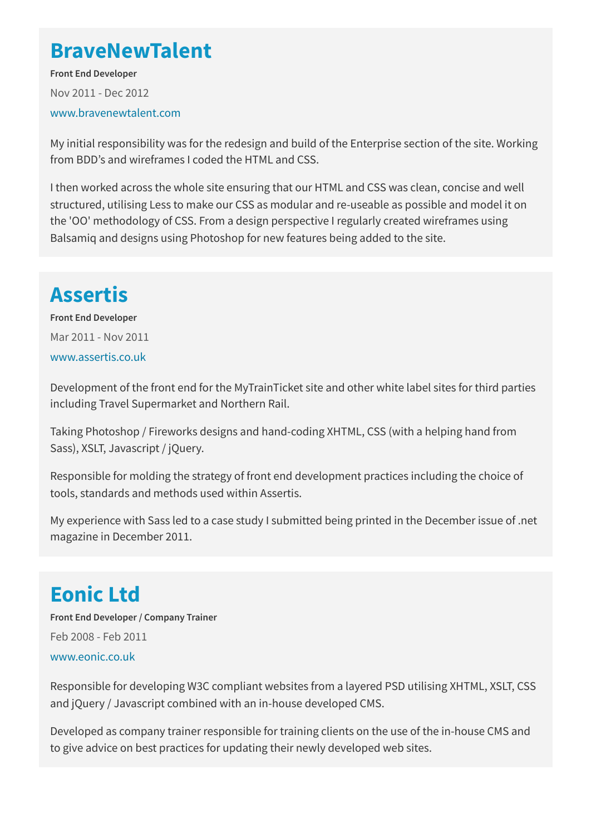### **BraveNewTalent**

**Front End Developer** Nov 2011 - Dec 2012 [www.bravenewtalent.com](https://www.bravenewtalent.com/)

My initial responsibility was for the redesign and build of the Enterprise section of the site. Working from BDD's and wireframes I coded the HTML and CSS.

I then worked across the whole site ensuring that our HTML and CSS was clean, concise and well structured, utilising Less to make our CSS as modular and re-useable as possible and model it on the 'OO' methodology of CSS. From a design perspective I regularly created wireframes using Balsamiq and designs using Photoshop for new features being added to the site.

# **Assertis**

**Front End Developer** Mar 2011 - Nov 2011 [www.assertis.co.uk](https://www.assertis.co.uk/)

Development of the front end for the MyTrainTicket site and other white label sites for third parties including Travel Supermarket and Northern Rail.

Taking Photoshop / Fireworks designs and hand-coding XHTML, CSS (with a helping hand from Sass), XSLT, Javascript / jQuery.

Responsible for molding the strategy of front end development practices including the choice of tools, standards and methods used within Assertis.

My experience with Sass led to a case study I submitted being printed in the December issue of .net magazine in December 2011.

## **Eonic Ltd**

**Front End Developer / Company Trainer** Feb 2008 - Feb 2011 [www.eonic.co.uk](https://www.eonic.co.uk/)

Responsible for developing W3C compliant websites from a layered PSD utilising XHTML, XSLT, CSS and jQuery / Javascript combined with an in-house developed CMS.

Developed as company trainer responsible for training clients on the use of the in-house CMS and to give advice on best practices for updating their newly developed web sites.